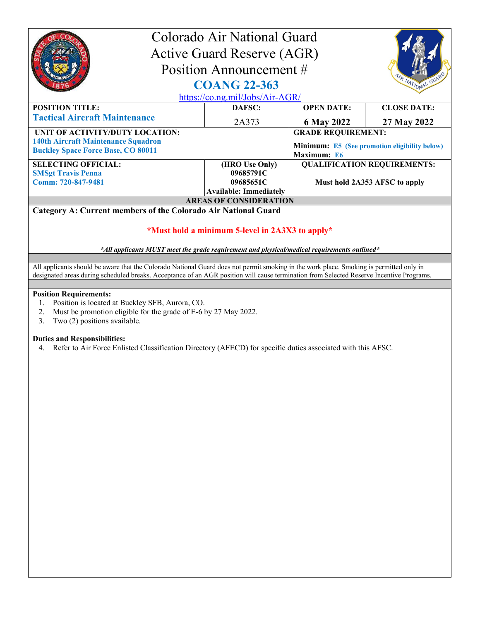| Colorado Air National Guard<br><b>Active Guard Reserve (AGR)</b><br>Position Announcement #<br>R NATIONAL<br><b>COANG 22-363</b><br>https://co.ng.mil/Jobs/Air-AGR/                                                                                                                                                                                                                                                                                                                                                                                                                                                                                                                                                                                                                                        |                               |                                                                     |                                    |  |
|------------------------------------------------------------------------------------------------------------------------------------------------------------------------------------------------------------------------------------------------------------------------------------------------------------------------------------------------------------------------------------------------------------------------------------------------------------------------------------------------------------------------------------------------------------------------------------------------------------------------------------------------------------------------------------------------------------------------------------------------------------------------------------------------------------|-------------------------------|---------------------------------------------------------------------|------------------------------------|--|
| <b>POSITION TITLE:</b>                                                                                                                                                                                                                                                                                                                                                                                                                                                                                                                                                                                                                                                                                                                                                                                     | DAFSC:                        | <b>OPEN DATE:</b>                                                   | <b>CLOSE DATE:</b>                 |  |
| <b>Tactical Aircraft Maintenance</b>                                                                                                                                                                                                                                                                                                                                                                                                                                                                                                                                                                                                                                                                                                                                                                       | 2A373                         | 6 May 2022                                                          | 27 May 2022                        |  |
| UNIT OF ACTIVITY/DUTY LOCATION:                                                                                                                                                                                                                                                                                                                                                                                                                                                                                                                                                                                                                                                                                                                                                                            |                               | <b>GRADE REQUIREMENT:</b>                                           |                                    |  |
| <b>140th Aircraft Maintenance Squadron</b><br><b>Buckley Space Force Base, CO 80011</b>                                                                                                                                                                                                                                                                                                                                                                                                                                                                                                                                                                                                                                                                                                                    |                               | <b>Minimum:</b> E5 (See promotion eligibility below)<br>Maximum: E6 |                                    |  |
| <b>SELECTING OFFICIAL:</b>                                                                                                                                                                                                                                                                                                                                                                                                                                                                                                                                                                                                                                                                                                                                                                                 | (HRO Use Only)                |                                                                     | <b>QUALIFICATION REQUIREMENTS:</b> |  |
| <b>SMSgt Travis Penna</b><br>Comm: 720-847-9481                                                                                                                                                                                                                                                                                                                                                                                                                                                                                                                                                                                                                                                                                                                                                            | 09685791C<br>09685651C        |                                                                     | Must hold 2A353 AFSC to apply      |  |
|                                                                                                                                                                                                                                                                                                                                                                                                                                                                                                                                                                                                                                                                                                                                                                                                            | <b>Available: Immediately</b> |                                                                     |                                    |  |
| Category A: Current members of the Colorado Air National Guard                                                                                                                                                                                                                                                                                                                                                                                                                                                                                                                                                                                                                                                                                                                                             | <b>AREAS OF CONSIDERATION</b> |                                                                     |                                    |  |
| *Must hold a minimum 5-level in 2A3X3 to apply*<br>*All applicants MUST meet the grade requirement and physical/medical requirements outlined*<br>All applicants should be aware that the Colorado National Guard does not permit smoking in the work place. Smoking is permitted only in<br>designated areas during scheduled breaks. Acceptance of an AGR position will cause termination from Selected Reserve Incentive Programs.<br><b>Position Requirements:</b><br>Position is located at Buckley SFB, Aurora, CO.<br>1.<br>2.<br>Must be promotion eligible for the grade of E-6 by 27 May 2022.<br>3.<br>Two (2) positions available.<br><b>Duties and Responsibilities:</b><br>Refer to Air Force Enlisted Classification Directory (AFECD) for specific duties associated with this AFSC.<br>4. |                               |                                                                     |                                    |  |
|                                                                                                                                                                                                                                                                                                                                                                                                                                                                                                                                                                                                                                                                                                                                                                                                            |                               |                                                                     |                                    |  |